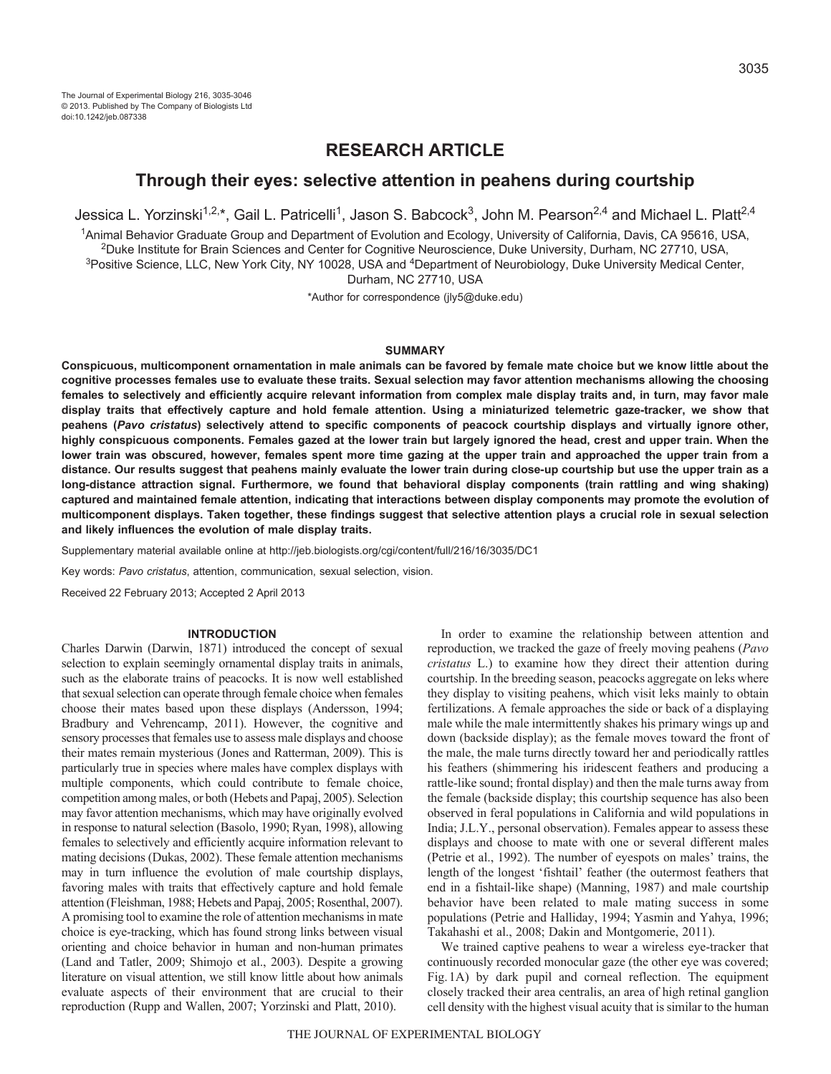# **RESEARCH ARTICLE**

## **Through their eyes: selective attention in peahens during courtship**

Jessica L. Yorzinski<sup>1,2,\*</sup>, Gail L. Patricelli<sup>1</sup>, Jason S. Babcock<sup>3</sup>, John M. Pearson<sup>2,4</sup> and Michael L. Platt<sup>2,4</sup>

1Animal Behavior Graduate Group and Department of Evolution and Ecology, University of California, Davis, CA 95616, USA, 2Duke Institute for Brain Sciences and Center for Cognitive Neuroscience, Duke University, Durham, NC 27710, USA, <sup>3</sup>Positive Science, LLC, New York City, NY 10028, USA and <sup>4</sup>Department of Neurobiology, Duke University Medical Center,

Durham, NC 27710, USA

\*Author for correspondence (jly5@duke.edu)

### **SUMMARY**

**Conspicuous, multicomponent ornamentation in male animals can be favored by female mate choice but we know little about the cognitive processes females use to evaluate these traits. Sexual selection may favor attention mechanisms allowing the choosing females to selectively and efficiently acquire relevant information from complex male display traits and, in turn, may favor male display traits that effectively capture and hold female attention. Using a miniaturized telemetric gaze-tracker, we show that peahens (***Pavo cristatus***) selectively attend to specific components of peacock courtship displays and virtually ignore other, highly conspicuous components. Females gazed at the lower train but largely ignored the head, crest and upper train. When the lower train was obscured, however, females spent more time gazing at the upper train and approached the upper train from a distance. Our results suggest that peahens mainly evaluate the lower train during close-up courtship but use the upper train as a long-distance attraction signal. Furthermore, we found that behavioral display components (train rattling and wing shaking) captured and maintained female attention, indicating that interactions between display components may promote the evolution of multicomponent displays. Taken together, these findings suggest that selective attention plays a crucial role in sexual selection and likely influences the evolution of male display traits.**

Supplementary material available online at http://jeb.biologists.org/cgi/content/full/216/16/3035/DC1

Key words: *Pavo cristatus*, attention, communication, sexual selection, vision.

Received 22 February 2013; Accepted 2 April 2013

#### **INTRODUCTION**

Charles Darwin (Darwin, 1871) introduced the concept of sexual selection to explain seemingly ornamental display traits in animals, such as the elaborate trains of peacocks. It is now well established that sexual selection can operate through female choice when females choose their mates based upon these displays (Andersson, 1994; Bradbury and Vehrencamp, 2011). However, the cognitive and sensory processes that females use to assess male displays and choose their mates remain mysterious (Jones and Ratterman, 2009). This is particularly true in species where males have complex displays with multiple components, which could contribute to female choice, competition among males, or both (Hebets and Papaj, 2005). Selection may favor attention mechanisms, which may have originally evolved in response to natural selection (Basolo, 1990; Ryan, 1998), allowing females to selectively and efficiently acquire information relevant to mating decisions (Dukas, 2002). These female attention mechanisms may in turn influence the evolution of male courtship displays, favoring males with traits that effectively capture and hold female attention (Fleishman, 1988; Hebets and Papaj, 2005; Rosenthal, 2007). A promising tool to examine the role of attention mechanisms in mate choice is eye-tracking, which has found strong links between visual orienting and choice behavior in human and non-human primates (Land and Tatler, 2009; Shimojo et al., 2003). Despite a growing literature on visual attention, we still know little about how animals evaluate aspects of their environment that are crucial to their reproduction (Rupp and Wallen, 2007; Yorzinski and Platt, 2010).

In order to examine the relationship between attention and reproduction, we tracked the gaze of freely moving peahens (*Pavo cristatus* L.) to examine how they direct their attention during courtship. In the breeding season, peacocks aggregate on leks where they display to visiting peahens, which visit leks mainly to obtain fertilizations. A female approaches the side or back of a displaying male while the male intermittently shakes his primary wings up and down (backside display); as the female moves toward the front of the male, the male turns directly toward her and periodically rattles his feathers (shimmering his iridescent feathers and producing a rattle-like sound; frontal display) and then the male turns away from the female (backside display; this courtship sequence has also been observed in feral populations in California and wild populations in India; J.L.Y., personal observation). Females appear to assess these displays and choose to mate with one or several different males (Petrie et al., 1992). The number of eyespots on males' trains, the length of the longest 'fishtail' feather (the outermost feathers that end in a fishtail-like shape) (Manning, 1987) and male courtship behavior have been related to male mating success in some populations (Petrie and Halliday, 1994; Yasmin and Yahya, 1996; Takahashi et al., 2008; Dakin and Montgomerie, 2011).

We trained captive peahens to wear a wireless eye-tracker that continuously recorded monocular gaze (the other eye was covered; Fig.1A) by dark pupil and corneal reflection. The equipment closely tracked their area centralis, an area of high retinal ganglion cell density with the highest visual acuity that is similar to the human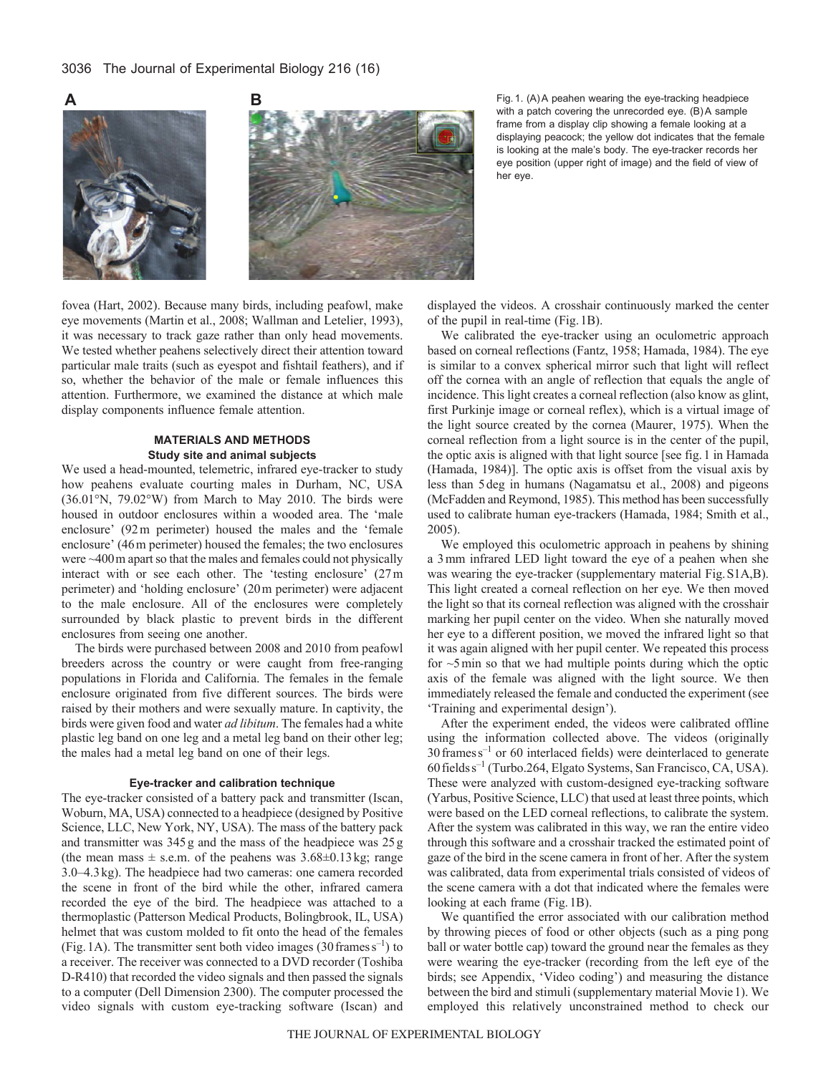

with a patch covering the unrecorded eye. (B)A sample frame from a display clip showing a female looking at a displaying peacock; the yellow dot indicates that the female is looking at the male's body. The eye-tracker records her eye position (upper right of image) and the field of view of her eye.

fovea (Hart, 2002). Because many birds, including peafowl, make eye movements (Martin et al., 2008; Wallman and Letelier, 1993), it was necessary to track gaze rather than only head movements. We tested whether peahens selectively direct their attention toward particular male traits (such as eyespot and fishtail feathers), and if so, whether the behavior of the male or female influences this attention. Furthermore, we examined the distance at which male display components influence female attention.

### **MATERIALS AND METHODS Study site and animal subjects**

We used a head-mounted, telemetric, infrared eye-tracker to study how peahens evaluate courting males in Durham, NC, USA (36.01°N, 79.02°W) from March to May 2010. The birds were housed in outdoor enclosures within a wooded area. The 'male enclosure' (92m perimeter) housed the males and the 'female enclosure' (46m perimeter) housed the females; the two enclosures were ~400m apart so that the males and females could not physically interact with or see each other. The 'testing enclosure' (27m perimeter) and 'holding enclosure' (20m perimeter) were adjacent to the male enclosure. All of the enclosures were completely surrounded by black plastic to prevent birds in the different enclosures from seeing one another.

The birds were purchased between 2008 and 2010 from peafowl breeders across the country or were caught from free-ranging populations in Florida and California. The females in the female enclosure originated from five different sources. The birds were raised by their mothers and were sexually mature. In captivity, the birds were given food and water *ad libitum*. The females had a white plastic leg band on one leg and a metal leg band on their other leg; the males had a metal leg band on one of their legs.

#### **Eye-tracker and calibration technique**

The eye-tracker consisted of a battery pack and transmitter (Iscan, Woburn, MA, USA) connected to a headpiece (designed by Positive Science, LLC, New York, NY, USA). The mass of the battery pack and transmitter was 345g and the mass of the headpiece was 25g (the mean mass  $\pm$  s.e.m. of the peahens was 3.68 $\pm$ 0.13 kg; range 3.0–4.3kg). The headpiece had two cameras: one camera recorded the scene in front of the bird while the other, infrared camera recorded the eye of the bird. The headpiece was attached to a thermoplastic (Patterson Medical Products, Bolingbrook, IL, USA) helmet that was custom molded to fit onto the head of the females (Fig. 1A). The transmitter sent both video images (30 frames  $s^{-1}$ ) to a receiver. The receiver was connected to a DVD recorder (Toshiba D-R410) that recorded the video signals and then passed the signals to a computer (Dell Dimension 2300). The computer processed the video signals with custom eye-tracking software (Iscan) and displayed the videos. A crosshair continuously marked the center of the pupil in real-time (Fig.1B).

We calibrated the eye-tracker using an oculometric approach based on corneal reflections (Fantz, 1958; Hamada, 1984). The eye is similar to a convex spherical mirror such that light will reflect off the cornea with an angle of reflection that equals the angle of incidence. This light creates a corneal reflection (also know as glint, first Purkinje image or corneal reflex), which is a virtual image of the light source created by the cornea (Maurer, 1975). When the corneal reflection from a light source is in the center of the pupil, the optic axis is aligned with that light source [see fig.1 in Hamada (Hamada, 1984)]. The optic axis is offset from the visual axis by less than 5deg in humans (Nagamatsu et al., 2008) and pigeons (McFadden and Reymond, 1985). This method has been successfully used to calibrate human eye-trackers (Hamada, 1984; Smith et al., 2005).

We employed this oculometric approach in peahens by shining a 3mm infrared LED light toward the eye of a peahen when she was wearing the eye-tracker (supplementary material Fig.S1A,B). This light created a corneal reflection on her eye. We then moved the light so that its corneal reflection was aligned with the crosshair marking her pupil center on the video. When she naturally moved her eye to a different position, we moved the infrared light so that it was again aligned with her pupil center. We repeated this process for  $\sim$ 5min so that we had multiple points during which the optic axis of the female was aligned with the light source. We then immediately released the female and conducted the experiment (see 'Training and experimental design').

After the experiment ended, the videos were calibrated offline using the information collected above. The videos (originally 30framess–1 or 60 interlaced fields) were deinterlaced to generate 60fieldss–1 (Turbo.264, Elgato Systems, San Francisco, CA, USA). These were analyzed with custom-designed eye-tracking software (Yarbus, Positive Science, LLC) that used at least three points, which were based on the LED corneal reflections, to calibrate the system. After the system was calibrated in this way, we ran the entire video through this software and a crosshair tracked the estimated point of gaze of the bird in the scene camera in front of her. After the system was calibrated, data from experimental trials consisted of videos of the scene camera with a dot that indicated where the females were looking at each frame (Fig.1B).

We quantified the error associated with our calibration method by throwing pieces of food or other objects (such as a ping pong ball or water bottle cap) toward the ground near the females as they were wearing the eye-tracker (recording from the left eye of the birds; see Appendix, 'Video coding') and measuring the distance between the bird and stimuli (supplementary material Movie1). We employed this relatively unconstrained method to check our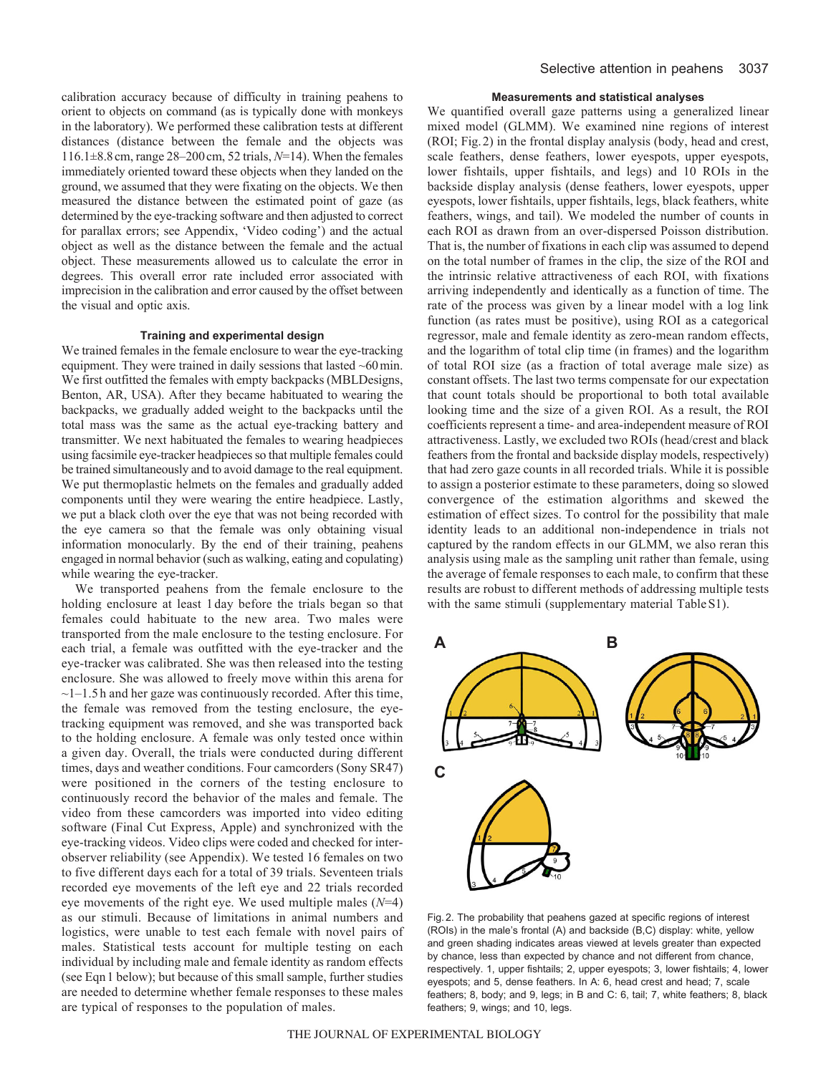calibration accuracy because of difficulty in training peahens to orient to objects on command (as is typically done with monkeys in the laboratory). We performed these calibration tests at different distances (distance between the female and the objects was 116.1±8.8cm, range 28–200cm, 52 trials, *N*=14). When the females immediately oriented toward these objects when they landed on the ground, we assumed that they were fixating on the objects. We then measured the distance between the estimated point of gaze (as determined by the eye-tracking software and then adjusted to correct for parallax errors; see Appendix, 'Video coding') and the actual object as well as the distance between the female and the actual object. These measurements allowed us to calculate the error in degrees. This overall error rate included error associated with imprecision in the calibration and error caused by the offset between the visual and optic axis.

### **Training and experimental design**

We trained females in the female enclosure to wear the eye-tracking equipment. They were trained in daily sessions that lasted ~60min. We first outfitted the females with empty backpacks (MBLDesigns, Benton, AR, USA). After they became habituated to wearing the backpacks, we gradually added weight to the backpacks until the total mass was the same as the actual eye-tracking battery and transmitter. We next habituated the females to wearing headpieces using facsimile eye-tracker headpieces so that multiple females could be trained simultaneously and to avoid damage to the real equipment. We put thermoplastic helmets on the females and gradually added components until they were wearing the entire headpiece. Lastly, we put a black cloth over the eye that was not being recorded with the eye camera so that the female was only obtaining visual information monocularly. By the end of their training, peahens engaged in normal behavior (such as walking, eating and copulating) while wearing the eye-tracker.

We transported peahens from the female enclosure to the holding enclosure at least 1 day before the trials began so that females could habituate to the new area. Two males were transported from the male enclosure to the testing enclosure. For each trial, a female was outfitted with the eye-tracker and the eye-tracker was calibrated. She was then released into the testing enclosure. She was allowed to freely move within this arena for  $\sim$ 1–1.5 h and her gaze was continuously recorded. After this time, the female was removed from the testing enclosure, the eyetracking equipment was removed, and she was transported back to the holding enclosure. A female was only tested once within a given day. Overall, the trials were conducted during different times, days and weather conditions. Four camcorders (Sony SR47) were positioned in the corners of the testing enclosure to continuously record the behavior of the males and female. The video from these camcorders was imported into video editing software (Final Cut Express, Apple) and synchronized with the eye-tracking videos. Video clips were coded and checked for interobserver reliability (see Appendix). We tested 16 females on two to five different days each for a total of 39 trials. Seventeen trials recorded eye movements of the left eye and 22 trials recorded eye movements of the right eye. We used multiple males (*N*=4) as our stimuli. Because of limitations in animal numbers and logistics, were unable to test each female with novel pairs of males. Statistical tests account for multiple testing on each individual by including male and female identity as random effects (see Eqn1 below); but because of this small sample, further studies are needed to determine whether female responses to these males are typical of responses to the population of males.

#### **Measurements and statistical analyses**

We quantified overall gaze patterns using a generalized linear mixed model (GLMM). We examined nine regions of interest (ROI; Fig.2) in the frontal display analysis (body, head and crest, scale feathers, dense feathers, lower eyespots, upper eyespots, lower fishtails, upper fishtails, and legs) and 10 ROIs in the backside display analysis (dense feathers, lower eyespots, upper eyespots, lower fishtails, upper fishtails, legs, black feathers, white feathers, wings, and tail). We modeled the number of counts in each ROI as drawn from an over-dispersed Poisson distribution. That is, the number of fixations in each clip was assumed to depend on the total number of frames in the clip, the size of the ROI and the intrinsic relative attractiveness of each ROI, with fixations arriving independently and identically as a function of time. The rate of the process was given by a linear model with a log link function (as rates must be positive), using ROI as a categorical regressor, male and female identity as zero-mean random effects, and the logarithm of total clip time (in frames) and the logarithm of total ROI size (as a fraction of total average male size) as constant offsets. The last two terms compensate for our expectation that count totals should be proportional to both total available looking time and the size of a given ROI. As a result, the ROI coefficients represent a time- and area-independent measure of ROI attractiveness. Lastly, we excluded two ROIs (head/crest and black feathers from the frontal and backside display models, respectively) that had zero gaze counts in all recorded trials. While it is possible to assign a posterior estimate to these parameters, doing so slowed convergence of the estimation algorithms and skewed the estimation of effect sizes. To control for the possibility that male identity leads to an additional non-independence in trials not captured by the random effects in our GLMM, we also reran this analysis using male as the sampling unit rather than female, using the average of female responses to each male, to confirm that these results are robust to different methods of addressing multiple tests with the same stimuli (supplementary material Table S1).



Fig. 2. The probability that peahens gazed at specific regions of interest (ROIs) in the male's frontal (A) and backside (B,C) display: white, yellow and green shading indicates areas viewed at levels greater than expected by chance, less than expected by chance and not different from chance, respectively. 1, upper fishtails; 2, upper eyespots; 3, lower fishtails; 4, lower eyespots; and 5, dense feathers. In A: 6, head crest and head; 7, scale feathers; 8, body; and 9, legs; in B and C: 6, tail; 7, white feathers; 8, black feathers; 9, wings; and 10, legs.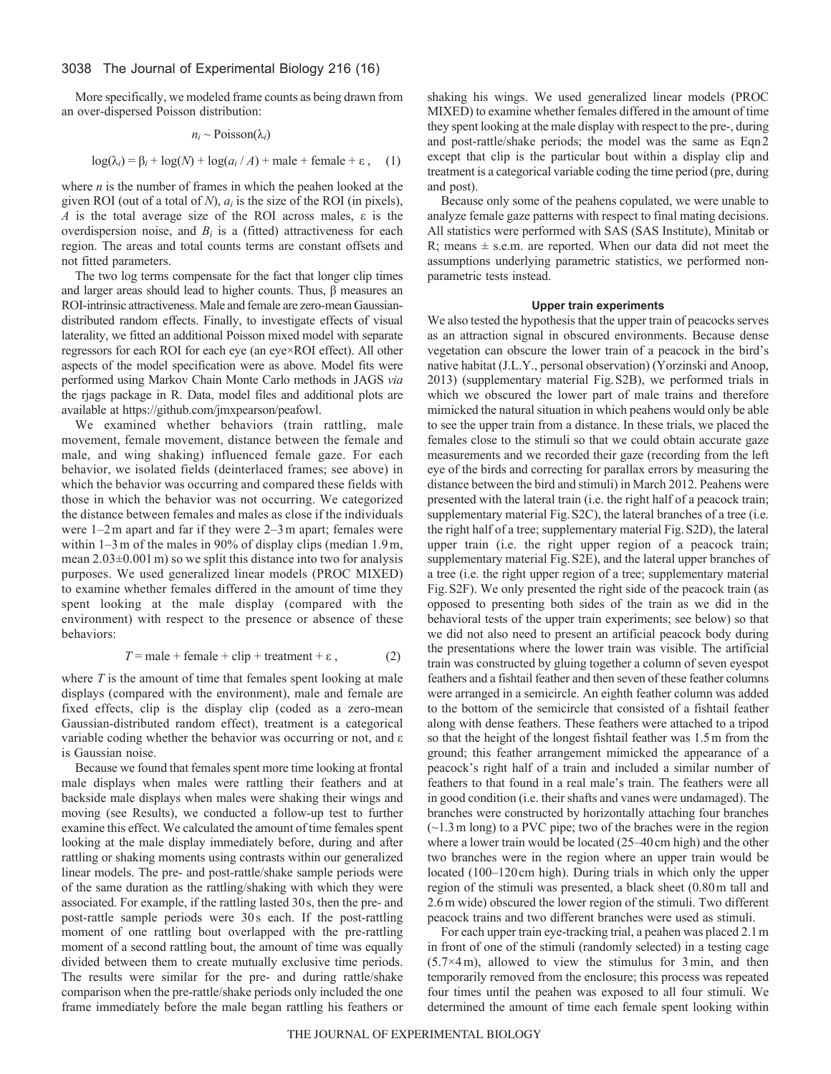More specifically, we modeled frame counts as being drawn from an over-dispersed Poisson distribution:

$$
n_i \sim \text{Poisson}(\lambda_i)
$$

$$
\log(\lambda_i) = \beta_i + \log(N) + \log(a_i/A) + \text{male} + \text{female} + \epsilon \,,\quad (1)
$$

where *n* is the number of frames in which the peahen looked at the given ROI (out of a total of *N*), *ai* is the size of the ROI (in pixels), *A* is the total average size of the ROI across males, ε is the overdispersion noise, and  $B_i$  is a (fitted) attractiveness for each region. The areas and total counts terms are constant offsets and not fitted parameters.

The two log terms compensate for the fact that longer clip times and larger areas should lead to higher counts. Thus, β measures an ROI-intrinsic attractiveness. Male and female are zero-mean Gaussiandistributed random effects. Finally, to investigate effects of visual laterality, we fitted an additional Poisson mixed model with separate regressors for each ROI for each eye (an eye×ROI effect). All other aspects of the model specification were as above. Model fits were performed using Markov Chain Monte Carlo methods in JAGS *via* the rjags package in R. Data, model files and additional plots are available at https://github.com/jmxpearson/peafowl.

We examined whether behaviors (train rattling, male movement, female movement, distance between the female and male, and wing shaking) influenced female gaze. For each behavior, we isolated fields (deinterlaced frames; see above) in which the behavior was occurring and compared these fields with those in which the behavior was not occurring. We categorized the distance between females and males as close if the individuals were 1–2m apart and far if they were 2–3m apart; females were within 1–3m of the males in 90% of display clips (median 1.9m, mean 2.03±0.001m) so we split this distance into two for analysis purposes. We used generalized linear models (PROC MIXED) to examine whether females differed in the amount of time they spent looking at the male display (compared with the environment) with respect to the presence or absence of these behaviors:

$$
T = \text{male} + \text{female} + \text{clip} + \text{treatment} + \varepsilon, \tag{2}
$$

where *T* is the amount of time that females spent looking at male displays (compared with the environment), male and female are fixed effects, clip is the display clip (coded as a zero-mean Gaussian-distributed random effect), treatment is a categorical variable coding whether the behavior was occurring or not, and ε is Gaussian noise.

Because we found that females spent more time looking at frontal male displays when males were rattling their feathers and at backside male displays when males were shaking their wings and moving (see Results), we conducted a follow-up test to further examine this effect. We calculated the amount of time females spent looking at the male display immediately before, during and after rattling or shaking moments using contrasts within our generalized linear models. The pre- and post-rattle/shake sample periods were of the same duration as the rattling/shaking with which they were associated. For example, if the rattling lasted 30s, then the pre- and post-rattle sample periods were 30s each. If the post-rattling moment of one rattling bout overlapped with the pre-rattling moment of a second rattling bout, the amount of time was equally divided between them to create mutually exclusive time periods. The results were similar for the pre- and during rattle/shake comparison when the pre-rattle/shake periods only included the one frame immediately before the male began rattling his feathers or

shaking his wings. We used generalized linear models (PROC MIXED) to examine whether females differed in the amount of time they spent looking at the male display with respect to the pre-, during and post-rattle/shake periods; the model was the same as Eqn2 except that clip is the particular bout within a display clip and treatment is a categorical variable coding the time period (pre, during and post).

Because only some of the peahens copulated, we were unable to analyze female gaze patterns with respect to final mating decisions. All statistics were performed with SAS (SAS Institute), Minitab or R; means  $\pm$  s.e.m. are reported. When our data did not meet the assumptions underlying parametric statistics, we performed nonparametric tests instead.

#### **Upper train experiments**

We also tested the hypothesis that the upper train of peacocks serves as an attraction signal in obscured environments. Because dense vegetation can obscure the lower train of a peacock in the bird's native habitat (J.L.Y., personal observation) (Yorzinski and Anoop, 2013) (supplementary material Fig.S2B), we performed trials in which we obscured the lower part of male trains and therefore mimicked the natural situation in which peahens would only be able to see the upper train from a distance. In these trials, we placed the females close to the stimuli so that we could obtain accurate gaze measurements and we recorded their gaze (recording from the left eye of the birds and correcting for parallax errors by measuring the distance between the bird and stimuli) in March 2012. Peahens were presented with the lateral train (i.e. the right half of a peacock train; supplementary material Fig.S2C), the lateral branches of a tree (i.e. the right half of a tree; supplementary material Fig.S2D), the lateral upper train (i.e. the right upper region of a peacock train; supplementary material Fig.S2E), and the lateral upper branches of a tree (i.e. the right upper region of a tree; supplementary material Fig.S2F). We only presented the right side of the peacock train (as opposed to presenting both sides of the train as we did in the behavioral tests of the upper train experiments; see below) so that we did not also need to present an artificial peacock body during the presentations where the lower train was visible. The artificial train was constructed by gluing together a column of seven eyespot feathers and a fishtail feather and then seven of these feather columns were arranged in a semicircle. An eighth feather column was added to the bottom of the semicircle that consisted of a fishtail feather along with dense feathers. These feathers were attached to a tripod so that the height of the longest fishtail feather was 1.5m from the ground; this feather arrangement mimicked the appearance of a peacock's right half of a train and included a similar number of feathers to that found in a real male's train. The feathers were all in good condition (i.e. their shafts and vanes were undamaged). The branches were constructed by horizontally attaching four branches (~1.3m long) to a PVC pipe; two of the braches were in the region where a lower train would be located (25–40cm high) and the other two branches were in the region where an upper train would be located (100–120 cm high). During trials in which only the upper region of the stimuli was presented, a black sheet (0.80m tall and 2.6m wide) obscured the lower region of the stimuli. Two different peacock trains and two different branches were used as stimuli.

For each upper train eye-tracking trial, a peahen was placed 2.1m in front of one of the stimuli (randomly selected) in a testing cage  $(5.7\times4 \text{ m})$ , allowed to view the stimulus for 3 min, and then temporarily removed from the enclosure; this process was repeated four times until the peahen was exposed to all four stimuli. We determined the amount of time each female spent looking within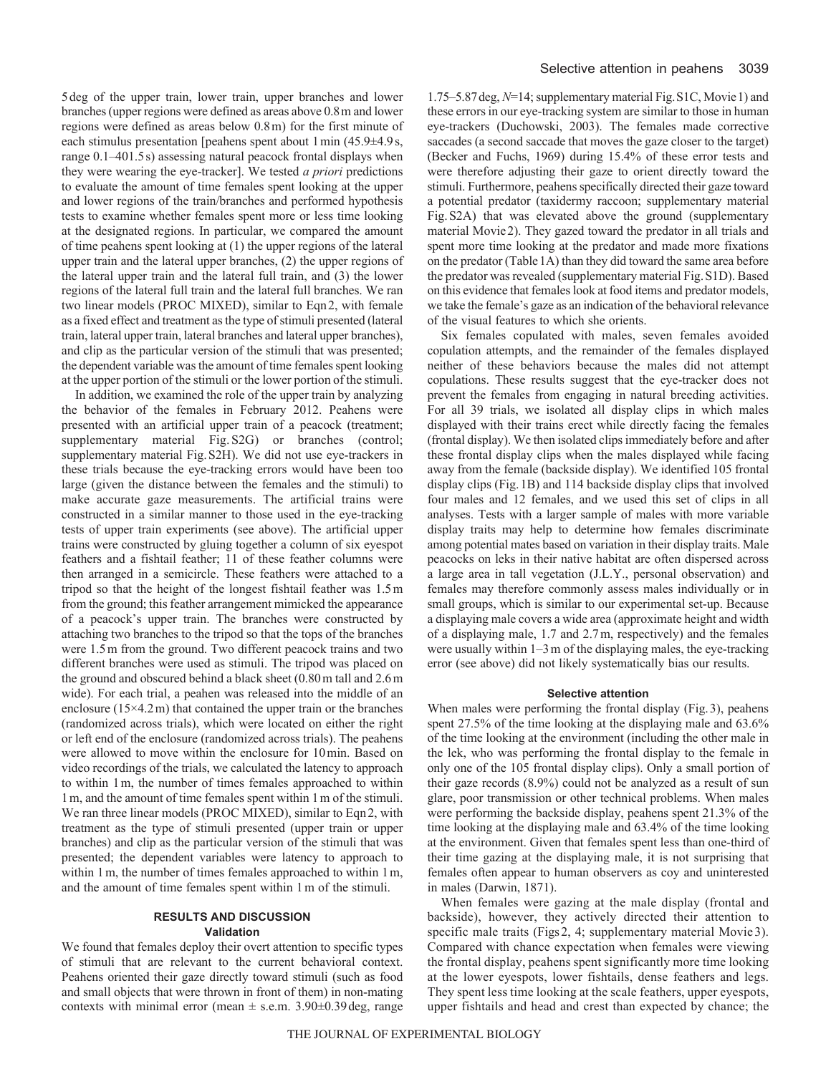5deg of the upper train, lower train, upper branches and lower branches (upper regions were defined as areas above 0.8m and lower regions were defined as areas below 0.8m) for the first minute of each stimulus presentation [peahens spent about 1min (45.9±4.9s, range 0.1–401.5s) assessing natural peacock frontal displays when they were wearing the eye-tracker]. We tested *a priori* predictions to evaluate the amount of time females spent looking at the upper and lower regions of the train/branches and performed hypothesis tests to examine whether females spent more or less time looking at the designated regions. In particular, we compared the amount of time peahens spent looking at (1) the upper regions of the lateral upper train and the lateral upper branches, (2) the upper regions of the lateral upper train and the lateral full train, and (3) the lower regions of the lateral full train and the lateral full branches. We ran two linear models (PROC MIXED), similar to Eqn2, with female as a fixed effect and treatment as the type of stimuli presented (lateral train, lateral upper train, lateral branches and lateral upper branches), and clip as the particular version of the stimuli that was presented; the dependent variable was the amount of time females spent looking at the upper portion of the stimuli or the lower portion of the stimuli.

In addition, we examined the role of the upper train by analyzing the behavior of the females in February 2012. Peahens were presented with an artificial upper train of a peacock (treatment; supplementary material Fig. S2G) or branches (control; supplementary material Fig.S2H). We did not use eye-trackers in these trials because the eye-tracking errors would have been too large (given the distance between the females and the stimuli) to make accurate gaze measurements. The artificial trains were constructed in a similar manner to those used in the eye-tracking tests of upper train experiments (see above). The artificial upper trains were constructed by gluing together a column of six eyespot feathers and a fishtail feather; 11 of these feather columns were then arranged in a semicircle. These feathers were attached to a tripod so that the height of the longest fishtail feather was 1.5m from the ground; this feather arrangement mimicked the appearance of a peacock's upper train. The branches were constructed by attaching two branches to the tripod so that the tops of the branches were 1.5m from the ground. Two different peacock trains and two different branches were used as stimuli. The tripod was placed on the ground and obscured behind a black sheet (0.80m tall and 2.6m wide). For each trial, a peahen was released into the middle of an enclosure  $(15\times4.2 \text{ m})$  that contained the upper train or the branches (randomized across trials), which were located on either the right or left end of the enclosure (randomized across trials). The peahens were allowed to move within the enclosure for 10min. Based on video recordings of the trials, we calculated the latency to approach to within 1m, the number of times females approached to within 1m, and the amount of time females spent within 1m of the stimuli. We ran three linear models (PROC MIXED), similar to Eqn2, with treatment as the type of stimuli presented (upper train or upper branches) and clip as the particular version of the stimuli that was presented; the dependent variables were latency to approach to within 1 m, the number of times females approached to within 1 m, and the amount of time females spent within 1m of the stimuli.

## **RESULTS AND DISCUSSION Validation**

We found that females deploy their overt attention to specific types of stimuli that are relevant to the current behavioral context. Peahens oriented their gaze directly toward stimuli (such as food and small objects that were thrown in front of them) in non-mating contexts with minimal error (mean  $\pm$  s.e.m. 3.90 $\pm$ 0.39 deg, range

1.75–5.87deg, *N*=14; supplementary material Fig.S1C, Movie1) and these errors in our eye-tracking system are similar to those in human eye-trackers (Duchowski, 2003). The females made corrective saccades (a second saccade that moves the gaze closer to the target) (Becker and Fuchs, 1969) during 15.4% of these error tests and were therefore adjusting their gaze to orient directly toward the stimuli. Furthermore, peahens specifically directed their gaze toward a potential predator (taxidermy raccoon; supplementary material Fig.S2A) that was elevated above the ground (supplementary material Movie2). They gazed toward the predator in all trials and spent more time looking at the predator and made more fixations on the predator (Table1A) than they did toward the same area before the predator was revealed (supplementary material Fig.S1D). Based on this evidence that females look at food items and predator models, we take the female's gaze as an indication of the behavioral relevance of the visual features to which she orients.

Six females copulated with males, seven females avoided copulation attempts, and the remainder of the females displayed neither of these behaviors because the males did not attempt copulations. These results suggest that the eye-tracker does not prevent the females from engaging in natural breeding activities. For all 39 trials, we isolated all display clips in which males displayed with their trains erect while directly facing the females (frontal display). We then isolated clips immediately before and after these frontal display clips when the males displayed while facing away from the female (backside display). We identified 105 frontal display clips (Fig.1B) and 114 backside display clips that involved four males and 12 females, and we used this set of clips in all analyses. Tests with a larger sample of males with more variable display traits may help to determine how females discriminate among potential mates based on variation in their display traits. Male peacocks on leks in their native habitat are often dispersed across a large area in tall vegetation (J.L.Y., personal observation) and females may therefore commonly assess males individually or in small groups, which is similar to our experimental set-up. Because a displaying male covers a wide area (approximate height and width of a displaying male, 1.7 and 2.7m, respectively) and the females were usually within 1–3m of the displaying males, the eye-tracking error (see above) did not likely systematically bias our results.

## **Selective attention**

When males were performing the frontal display (Fig. 3), peahens spent 27.5% of the time looking at the displaying male and 63.6% of the time looking at the environment (including the other male in the lek, who was performing the frontal display to the female in only one of the 105 frontal display clips). Only a small portion of their gaze records (8.9%) could not be analyzed as a result of sun glare, poor transmission or other technical problems. When males were performing the backside display, peahens spent 21.3% of the time looking at the displaying male and 63.4% of the time looking at the environment. Given that females spent less than one-third of their time gazing at the displaying male, it is not surprising that females often appear to human observers as coy and uninterested in males (Darwin, 1871).

When females were gazing at the male display (frontal and backside), however, they actively directed their attention to specific male traits (Figs2, 4; supplementary material Movie 3). Compared with chance expectation when females were viewing the frontal display, peahens spent significantly more time looking at the lower eyespots, lower fishtails, dense feathers and legs. They spent less time looking at the scale feathers, upper eyespots, upper fishtails and head and crest than expected by chance; the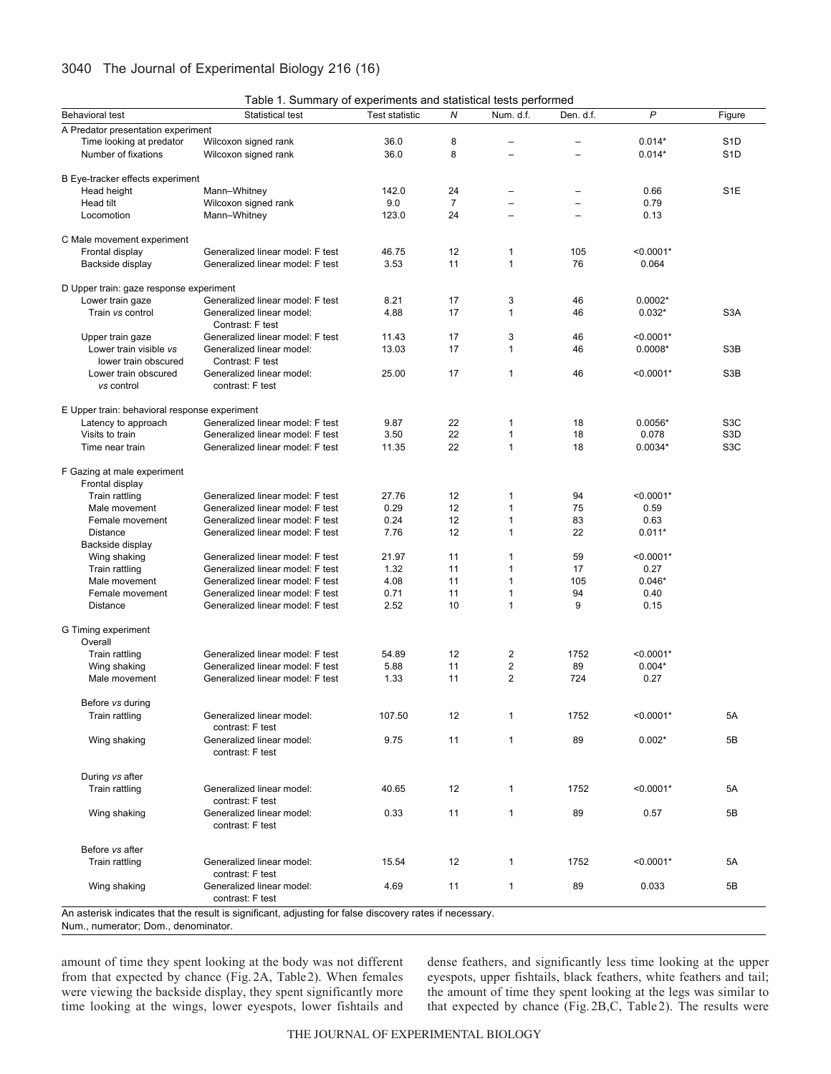| Table 1. Summary of experiments and statistical tests performed |
|-----------------------------------------------------------------|
|-----------------------------------------------------------------|

|                                               | <b>Table 1. Califfice y or experimente and etationed testo perform</b>                                  |                |                |                          |                          |             |                  |
|-----------------------------------------------|---------------------------------------------------------------------------------------------------------|----------------|----------------|--------------------------|--------------------------|-------------|------------------|
| <b>Behavioral test</b>                        | Statistical test                                                                                        | Test statistic | Ν              | Num. d.f.                | Den. d.f.                | P           | Figure           |
| A Predator presentation experiment            |                                                                                                         |                |                |                          |                          |             |                  |
| Time looking at predator                      | Wilcoxon signed rank                                                                                    | 36.0           | 8              |                          |                          | $0.014*$    | S <sub>1</sub> D |
| Number of fixations                           | Wilcoxon signed rank                                                                                    | 36.0           | 8              | $\overline{\phantom{0}}$ | $\overline{a}$           | $0.014*$    | S <sub>1</sub> D |
| B Eye-tracker effects experiment              |                                                                                                         |                |                |                          |                          |             |                  |
| Head height                                   | Mann-Whitney                                                                                            | 142.0          | 24             |                          |                          | 0.66        | S <sub>1</sub> E |
| <b>Head tilt</b>                              | Wilcoxon signed rank                                                                                    | 9.0            | $\overline{7}$ |                          | $\qquad \qquad -$        | 0.79        |                  |
|                                               |                                                                                                         |                |                | $\qquad \qquad -$        | $\overline{\phantom{0}}$ |             |                  |
| Locomotion                                    | Mann-Whitney                                                                                            | 123.0          | 24             | $\overline{\phantom{0}}$ |                          | 0.13        |                  |
| C Male movement experiment                    |                                                                                                         |                |                |                          |                          |             |                  |
| Frontal display                               | Generalized linear model: F test                                                                        | 46.75          | 12             | $\mathbf{1}$             | 105                      | $< 0.0001*$ |                  |
| Backside display                              | Generalized linear model: F test                                                                        | 3.53           | 11             | $\mathbf{1}$             | 76                       | 0.064       |                  |
|                                               |                                                                                                         |                |                |                          |                          |             |                  |
| D Upper train: gaze response experiment       |                                                                                                         |                |                |                          |                          |             |                  |
| Lower train gaze                              | Generalized linear model: F test                                                                        | 8.21           | 17             | 3                        | 46                       | $0.0002*$   |                  |
| Train vs control                              | Generalized linear model:                                                                               | 4.88           | 17             | $\mathbf{1}$             | 46                       | $0.032*$    | S <sub>3</sub> A |
|                                               | Contrast: F test                                                                                        |                |                |                          |                          |             |                  |
| Upper train gaze                              | Generalized linear model: F test                                                                        | 11.43          | 17             | 3                        | 46                       | $< 0.0001*$ |                  |
| Lower train visible vs                        | Generalized linear model:                                                                               | 13.03          | 17             | $\mathbf{1}$             | 46                       | $0.0008*$   | S3B              |
|                                               | Contrast: F test                                                                                        |                |                |                          |                          |             |                  |
| lower train obscured                          |                                                                                                         |                |                |                          |                          |             |                  |
| Lower train obscured                          | Generalized linear model:                                                                               | 25.00          | 17             | $\mathbf{1}$             | 46                       | $< 0.0001*$ | S3B              |
| vs control                                    | contrast: F test                                                                                        |                |                |                          |                          |             |                  |
|                                               |                                                                                                         |                |                |                          |                          |             |                  |
| E Upper train: behavioral response experiment |                                                                                                         |                |                |                          |                          |             |                  |
| Latency to approach                           | Generalized linear model: F test                                                                        | 9.87           | 22             | $\mathbf{1}$             | 18                       | $0.0056*$   | S <sub>3</sub> C |
| Visits to train                               | Generalized linear model: F test                                                                        | 3.50           | 22             | $\mathbf{1}$             | 18                       | 0.078       | S <sub>3</sub> D |
| Time near train                               | Generalized linear model: F test                                                                        | 11.35          | 22             | $\mathbf{1}$             | 18                       | $0.0034*$   | S <sub>3</sub> C |
|                                               |                                                                                                         |                |                |                          |                          |             |                  |
| F Gazing at male experiment                   |                                                                                                         |                |                |                          |                          |             |                  |
| Frontal display                               |                                                                                                         |                |                |                          |                          |             |                  |
| Train rattling                                | Generalized linear model: F test                                                                        | 27.76          | 12             | $\mathbf{1}$             | 94                       | $< 0.0001*$ |                  |
| Male movement                                 | Generalized linear model: F test                                                                        | 0.29           | 12             | $\mathbf{1}$             | 75                       | 0.59        |                  |
| Female movement                               | Generalized linear model: F test                                                                        | 0.24           | 12             | $\mathbf{1}$             | 83                       | 0.63        |                  |
| <b>Distance</b>                               | Generalized linear model: F test                                                                        | 7.76           | 12             | $\mathbf{1}$             | 22                       | $0.011*$    |                  |
| Backside display                              |                                                                                                         |                |                |                          |                          |             |                  |
| Wing shaking                                  | Generalized linear model: F test                                                                        | 21.97          | 11             | $\mathbf{1}$             | 59                       | $< 0.0001*$ |                  |
| Train rattling                                | Generalized linear model: F test                                                                        | 1.32           | 11             | $\mathbf{1}$             | 17                       | 0.27        |                  |
| Male movement                                 | Generalized linear model: F test                                                                        | 4.08           | 11             | $\mathbf{1}$             | 105                      | $0.046*$    |                  |
| Female movement                               | Generalized linear model: F test                                                                        | 0.71           | 11             | $\mathbf{1}$             | 94                       | 0.40        |                  |
| <b>Distance</b>                               | Generalized linear model: F test                                                                        | 2.52           | 10             | $\mathbf{1}$             | 9                        | 0.15        |                  |
|                                               |                                                                                                         |                |                |                          |                          |             |                  |
| G Timing experiment                           |                                                                                                         |                |                |                          |                          |             |                  |
| Overall                                       |                                                                                                         |                |                |                          |                          |             |                  |
| Train rattling                                | Generalized linear model: F test                                                                        | 54.89          | 12             | $\overline{c}$           | 1752                     | $< 0.0001*$ |                  |
| Wing shaking                                  | Generalized linear model: F test                                                                        | 5.88           | 11             | $\overline{c}$           | 89                       | $0.004*$    |                  |
| Male movement                                 | Generalized linear model: F test                                                                        | 1.33           | 11             | $\overline{2}$           | 724                      | 0.27        |                  |
|                                               |                                                                                                         |                |                |                          |                          |             |                  |
| Before vs during                              |                                                                                                         |                |                |                          |                          |             |                  |
| Train rattling                                | Generalized linear model:                                                                               | 107.50         | 12             | $\mathbf{1}$             | 1752                     | $< 0.0001*$ | 5A               |
|                                               | contrast: F test                                                                                        |                |                |                          |                          |             |                  |
| Wing shaking                                  | Generalized linear model:                                                                               | 9.75           | 11             | $\mathbf{1}$             | 89                       | $0.002*$    | 5B               |
|                                               | contrast: F test                                                                                        |                |                |                          |                          |             |                  |
|                                               |                                                                                                         |                |                |                          |                          |             |                  |
| During vs after                               |                                                                                                         |                |                |                          |                          |             |                  |
| Train rattling                                | Generalized linear model:                                                                               | 40.65          | 12             | $\mathbf{1}$             | 1752                     | $< 0.0001*$ | 5A               |
|                                               | contrast: F test                                                                                        |                |                |                          |                          |             |                  |
| Wing shaking                                  | Generalized linear model:                                                                               | 0.33           | 11             | $\mathbf{1}$             | 89                       | 0.57        | 5B               |
|                                               | contrast: F test                                                                                        |                |                |                          |                          |             |                  |
|                                               |                                                                                                         |                |                |                          |                          |             |                  |
| Before vs after                               |                                                                                                         |                |                |                          |                          |             |                  |
| Train rattling                                | Generalized linear model:                                                                               | 15.54          | 12             | $\mathbf{1}$             | 1752                     | $< 0.0001*$ | 5A               |
|                                               | contrast: F test                                                                                        |                |                |                          |                          |             |                  |
| Wing shaking                                  | Generalized linear model:                                                                               | 4.69           | 11             | $\mathbf{1}$             | 89                       | 0.033       | 5B               |
|                                               | contrast: F test                                                                                        |                |                |                          |                          |             |                  |
|                                               |                                                                                                         |                |                |                          |                          |             |                  |
|                                               | An asterisk indicates that the result is significant, adjusting for false discovery rates if necessary. |                |                |                          |                          |             |                  |

Num., numerator; Dom., denominator.

amount of time they spent looking at the body was not different from that expected by chance (Fig. 2A, Table2). When females were viewing the backside display, they spent significantly more time looking at the wings, lower eyespots, lower fishtails and dense feathers, and significantly less time looking at the upper eyespots, upper fishtails, black feathers, white feathers and tail; the amount of time they spent looking at the legs was similar to that expected by chance (Fig. 2B,C, Table 2). The results were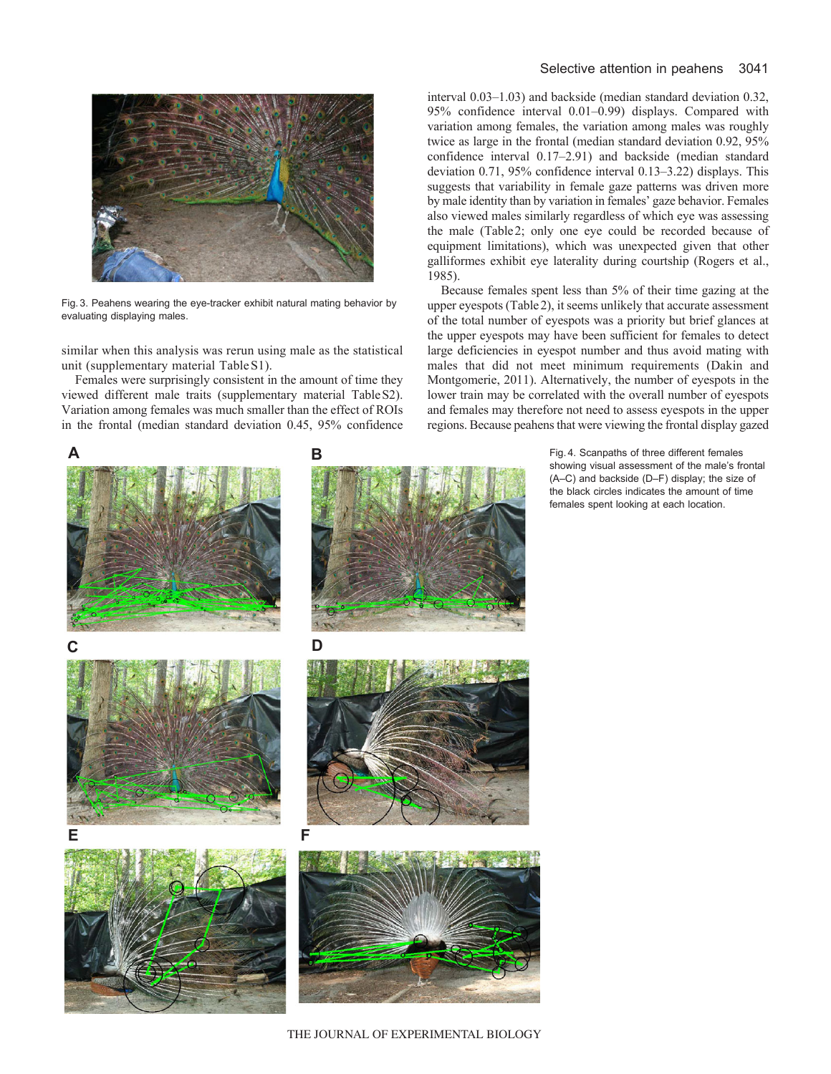

Fig. 3. Peahens wearing the eye-tracker exhibit natural mating behavior by evaluating displaying males.

similar when this analysis was rerun using male as the statistical unit (supplementary material TableS1).

Females were surprisingly consistent in the amount of time they viewed different male traits (supplementary material TableS2). Variation among females was much smaller than the effect of ROIs in the frontal (median standard deviation 0.45, 95% confidence

## Selective attention in peahens 3041

interval 0.03–1.03) and backside (median standard deviation 0.32, 95% confidence interval 0.01–0.99) displays. Compared with variation among females, the variation among males was roughly twice as large in the frontal (median standard deviation 0.92, 95% confidence interval 0.17–2.91) and backside (median standard deviation 0.71, 95% confidence interval 0.13–3.22) displays. This suggests that variability in female gaze patterns was driven more by male identity than by variation in females' gaze behavior. Females also viewed males similarly regardless of which eye was assessing the male (Table2; only one eye could be recorded because of equipment limitations), which was unexpected given that other galliformes exhibit eye laterality during courtship (Rogers et al., 1985).

Because females spent less than 5% of their time gazing at the upper eyespots (Table2), it seems unlikely that accurate assessment of the total number of eyespots was a priority but brief glances at the upper eyespots may have been sufficient for females to detect large deficiencies in eyespot number and thus avoid mating with males that did not meet minimum requirements (Dakin and Montgomerie, 2011). Alternatively, the number of eyespots in the lower train may be correlated with the overall number of eyespots and females may therefore not need to assess eyespots in the upper regions. Because peahens that were viewing the frontal display gazed

> Fig. 4. Scanpaths of three different females showing visual assessment of the male's frontal (A–C) and backside (D–F) display; the size of the black circles indicates the amount of time females spent looking at each location.



THE JOURNAL OF EXPERIMENTAL BIOLOGY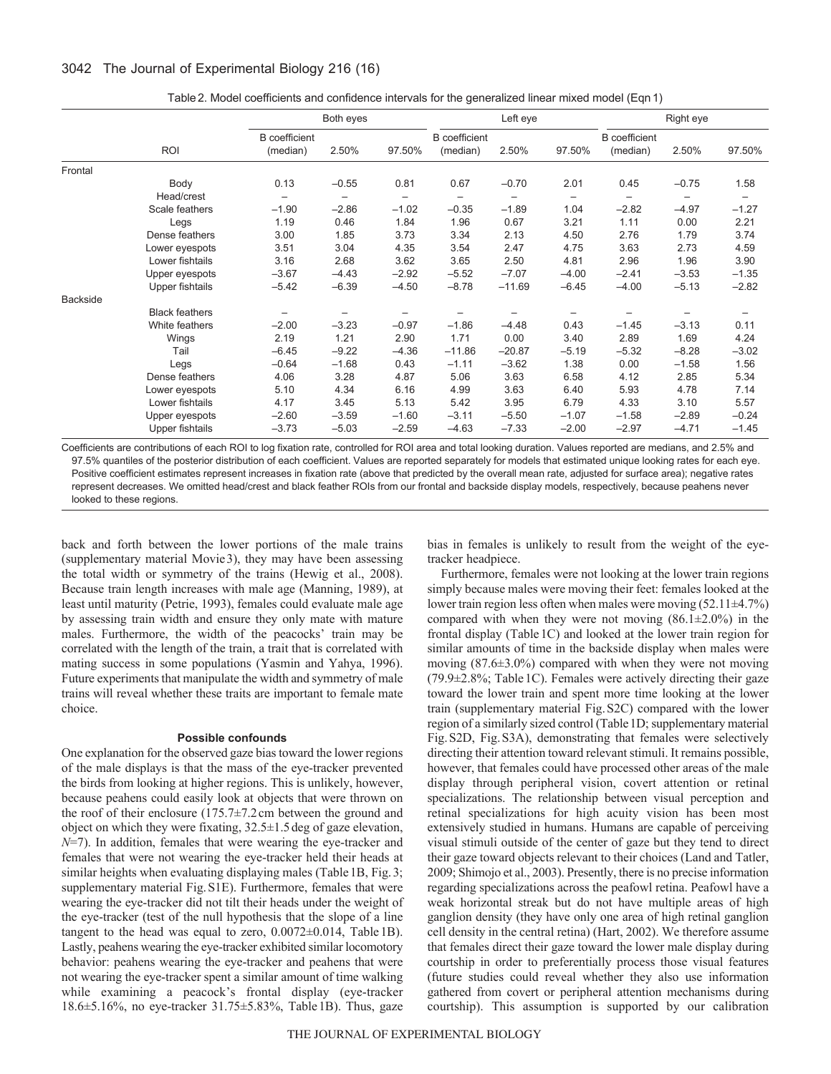|                 |                       | Both eyes            |                   |         | Left eye             |          |         | Right eye            |         |         |
|-----------------|-----------------------|----------------------|-------------------|---------|----------------------|----------|---------|----------------------|---------|---------|
|                 |                       | <b>B</b> coefficient |                   |         | <b>B</b> coefficient |          |         | <b>B</b> coefficient |         |         |
|                 | ROI                   | (median)             | 2.50%             | 97.50%  | (median)             | 2.50%    | 97.50%  | (median)             | 2.50%   | 97.50%  |
| Frontal         |                       |                      |                   |         |                      |          |         |                      |         |         |
|                 | Body                  | 0.13                 | $-0.55$           | 0.81    | 0.67                 | $-0.70$  | 2.01    | 0.45                 | $-0.75$ | 1.58    |
|                 | Head/crest            |                      | $\qquad \qquad -$ |         | -                    |          | -       | $\qquad \qquad -$    |         |         |
|                 | Scale feathers        | $-1.90$              | $-2.86$           | $-1.02$ | $-0.35$              | $-1.89$  | 1.04    | $-2.82$              | $-4.97$ | $-1.27$ |
|                 | Legs                  | 1.19                 | 0.46              | 1.84    | 1.96                 | 0.67     | 3.21    | 1.11                 | 0.00    | 2.21    |
|                 | Dense feathers        | 3.00                 | 1.85              | 3.73    | 3.34                 | 2.13     | 4.50    | 2.76                 | 1.79    | 3.74    |
|                 | Lower eyespots        | 3.51                 | 3.04              | 4.35    | 3.54                 | 2.47     | 4.75    | 3.63                 | 2.73    | 4.59    |
|                 | Lower fishtails       | 3.16                 | 2.68              | 3.62    | 3.65                 | 2.50     | 4.81    | 2.96                 | 1.96    | 3.90    |
|                 | Upper eyespots        | $-3.67$              | $-4.43$           | $-2.92$ | $-5.52$              | $-7.07$  | $-4.00$ | $-2.41$              | $-3.53$ | $-1.35$ |
|                 | Upper fishtails       | $-5.42$              | $-6.39$           | $-4.50$ | $-8.78$              | $-11.69$ | $-6.45$ | $-4.00$              | $-5.13$ | $-2.82$ |
| <b>Backside</b> |                       |                      |                   |         |                      |          |         |                      |         |         |
|                 | <b>Black feathers</b> |                      | -                 |         |                      |          |         |                      |         |         |
|                 | White feathers        | $-2.00$              | $-3.23$           | $-0.97$ | $-1.86$              | $-4.48$  | 0.43    | $-1.45$              | $-3.13$ | 0.11    |
|                 | Wings                 | 2.19                 | 1.21              | 2.90    | 1.71                 | 0.00     | 3.40    | 2.89                 | 1.69    | 4.24    |
|                 | Tail                  | $-6.45$              | $-9.22$           | $-4.36$ | $-11.86$             | $-20.87$ | $-5.19$ | $-5.32$              | $-8.28$ | $-3.02$ |
|                 | Legs                  | $-0.64$              | $-1.68$           | 0.43    | $-1.11$              | $-3.62$  | 1.38    | 0.00                 | $-1.58$ | 1.56    |
|                 | Dense feathers        | 4.06                 | 3.28              | 4.87    | 5.06                 | 3.63     | 6.58    | 4.12                 | 2.85    | 5.34    |
|                 | Lower eyespots        | 5.10                 | 4.34              | 6.16    | 4.99                 | 3.63     | 6.40    | 5.93                 | 4.78    | 7.14    |
|                 | Lower fishtails       | 4.17                 | 3.45              | 5.13    | 5.42                 | 3.95     | 6.79    | 4.33                 | 3.10    | 5.57    |
|                 | Upper eyespots        | $-2.60$              | $-3.59$           | $-1.60$ | $-3.11$              | $-5.50$  | $-1.07$ | $-1.58$              | $-2.89$ | $-0.24$ |
|                 | Upper fishtails       | $-3.73$              | $-5.03$           | $-2.59$ | $-4.63$              | $-7.33$  | $-2.00$ | $-2.97$              | $-4.71$ | $-1.45$ |
|                 |                       |                      |                   |         |                      |          |         |                      |         |         |

Table2. Model coefficients and confidence intervals for the generalized linear mixed model (Eqn 1)

Coefficients are contributions of each ROI to log fixation rate, controlled for ROI area and total looking duration. Values reported are medians, and 2.5% and 97.5% quantiles of the posterior distribution of each coefficient. Values are reported separately for models that estimated unique looking rates for each eye. Positive coefficient estimates represent increases in fixation rate (above that predicted by the overall mean rate, adjusted for surface area); negative rates represent decreases. We omitted head/crest and black feather ROIs from our frontal and backside display models, respectively, because peahens never looked to these regions.

back and forth between the lower portions of the male trains (supplementary material Movie3), they may have been assessing the total width or symmetry of the trains (Hewig et al., 2008). Because train length increases with male age (Manning, 1989), at least until maturity (Petrie, 1993), females could evaluate male age by assessing train width and ensure they only mate with mature males. Furthermore, the width of the peacocks' train may be correlated with the length of the train, a trait that is correlated with mating success in some populations (Yasmin and Yahya, 1996). Future experiments that manipulate the width and symmetry of male trains will reveal whether these traits are important to female mate choice.

### **Possible confounds**

One explanation for the observed gaze bias toward the lower regions of the male displays is that the mass of the eye-tracker prevented the birds from looking at higher regions. This is unlikely, however, because peahens could easily look at objects that were thrown on the roof of their enclosure (175.7±7.2cm between the ground and object on which they were fixating, 32.5±1.5deg of gaze elevation, *N*=7). In addition, females that were wearing the eye-tracker and females that were not wearing the eye-tracker held their heads at similar heights when evaluating displaying males (Table 1B, Fig. 3; supplementary material Fig.S1E). Furthermore, females that were wearing the eye-tracker did not tilt their heads under the weight of the eye-tracker (test of the null hypothesis that the slope of a line tangent to the head was equal to zero,  $0.0072 \pm 0.014$ , Table 1B). Lastly, peahens wearing the eye-tracker exhibited similar locomotory behavior: peahens wearing the eye-tracker and peahens that were not wearing the eye-tracker spent a similar amount of time walking while examining a peacock's frontal display (eye-tracker 18.6±5.16%, no eye-tracker 31.75±5.83%, Table1B). Thus, gaze

bias in females is unlikely to result from the weight of the eyetracker headpiece.

Furthermore, females were not looking at the lower train regions simply because males were moving their feet: females looked at the lower train region less often when males were moving (52.11±4.7%) compared with when they were not moving  $(86.1 \pm 2.0\%)$  in the frontal display (Table1C) and looked at the lower train region for similar amounts of time in the backside display when males were moving (87.6±3.0%) compared with when they were not moving  $(79.9\pm2.8\%)$ ; Table 1C). Females were actively directing their gaze toward the lower train and spent more time looking at the lower train (supplementary material Fig.S2C) compared with the lower region of a similarly sized control (Table1D; supplementary material Fig.S2D, Fig.S3A), demonstrating that females were selectively directing their attention toward relevant stimuli. It remains possible, however, that females could have processed other areas of the male display through peripheral vision, covert attention or retinal specializations. The relationship between visual perception and retinal specializations for high acuity vision has been most extensively studied in humans. Humans are capable of perceiving visual stimuli outside of the center of gaze but they tend to direct their gaze toward objects relevant to their choices (Land and Tatler, 2009; Shimojo et al., 2003). Presently, there is no precise information regarding specializations across the peafowl retina. Peafowl have a weak horizontal streak but do not have multiple areas of high ganglion density (they have only one area of high retinal ganglion cell density in the central retina) (Hart, 2002). We therefore assume that females direct their gaze toward the lower male display during courtship in order to preferentially process those visual features (future studies could reveal whether they also use information gathered from covert or peripheral attention mechanisms during courtship). This assumption is supported by our calibration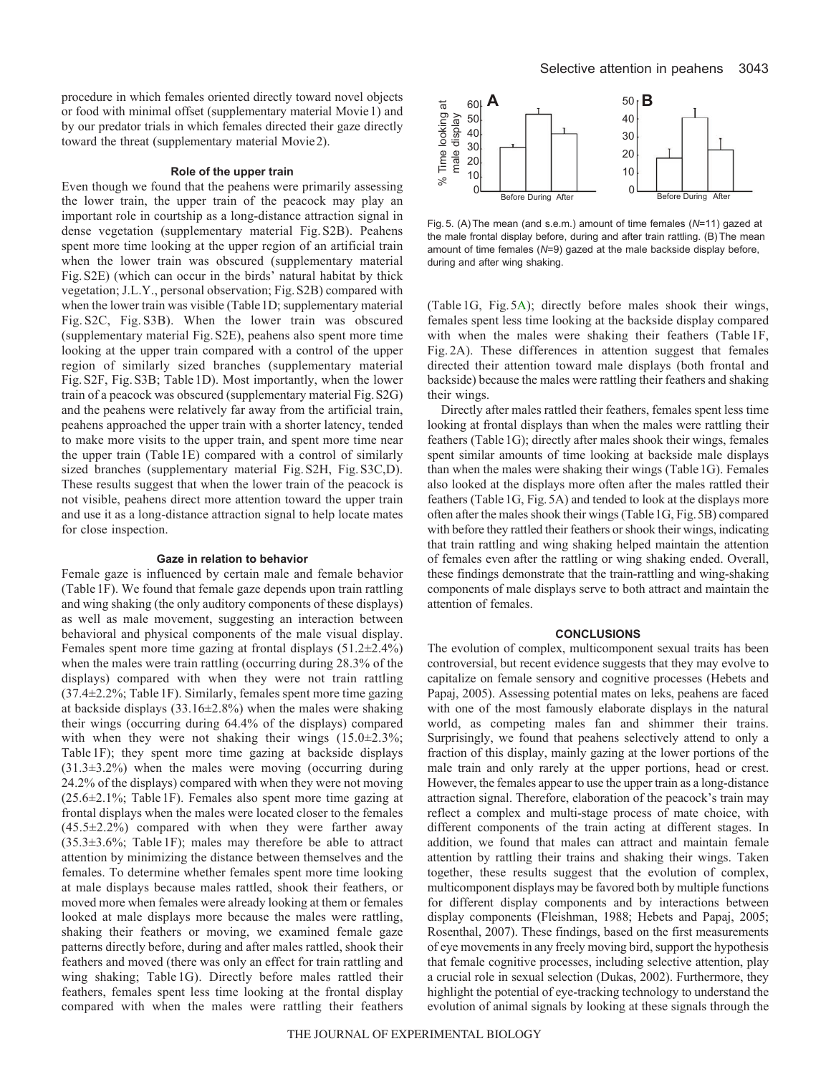procedure in which females oriented directly toward novel objects or food with minimal offset (supplementary material Movie1) and by our predator trials in which females directed their gaze directly toward the threat (supplementary material Movie2).

### **Role of the upper train**

Even though we found that the peahens were primarily assessing the lower train, the upper train of the peacock may play an important role in courtship as a long-distance attraction signal in dense vegetation (supplementary material Fig.S2B). Peahens spent more time looking at the upper region of an artificial train when the lower train was obscured (supplementary material Fig.S2E) (which can occur in the birds' natural habitat by thick vegetation; J.L.Y., personal observation; Fig.S2B) compared with when the lower train was visible (Table 1D; supplementary material Fig. S2C, Fig. S3B). When the lower train was obscured (supplementary material Fig.S2E), peahens also spent more time looking at the upper train compared with a control of the upper region of similarly sized branches (supplementary material Fig.S2F, Fig.S3B; Table 1D). Most importantly, when the lower train of a peacock was obscured (supplementary material Fig.S2G) and the peahens were relatively far away from the artificial train, peahens approached the upper train with a shorter latency, tended to make more visits to the upper train, and spent more time near the upper train (Table 1E) compared with a control of similarly sized branches (supplementary material Fig.S2H, Fig.S3C,D). These results suggest that when the lower train of the peacock is not visible, peahens direct more attention toward the upper train and use it as a long-distance attraction signal to help locate mates for close inspection.

## **Gaze in relation to behavior**

Female gaze is influenced by certain male and female behavior (Table 1F). We found that female gaze depends upon train rattling and wing shaking (the only auditory components of these displays) as well as male movement, suggesting an interaction between behavioral and physical components of the male visual display. Females spent more time gazing at frontal displays (51.2±2.4%) when the males were train rattling (occurring during 28.3% of the displays) compared with when they were not train rattling (37.4±2.2%; Table 1F). Similarly, females spent more time gazing at backside displays  $(33.16\pm2.8\%)$  when the males were shaking their wings (occurring during 64.4% of the displays) compared with when they were not shaking their wings  $(15.0 \pm 2.3\%)$ ; Table 1F); they spent more time gazing at backside displays  $(31.3\pm3.2\%)$  when the males were moving (occurring during 24.2% of the displays) compared with when they were not moving (25.6±2.1%; Table 1F). Females also spent more time gazing at frontal displays when the males were located closer to the females (45.5±2.2%) compared with when they were farther away (35.3±3.6%; Table 1F); males may therefore be able to attract attention by minimizing the distance between themselves and the females. To determine whether females spent more time looking at male displays because males rattled, shook their feathers, or moved more when females were already looking at them or females looked at male displays more because the males were rattling, shaking their feathers or moving, we examined female gaze patterns directly before, during and after males rattled, shook their feathers and moved (there was only an effect for train rattling and wing shaking; Table 1G). Directly before males rattled their feathers, females spent less time looking at the frontal display compared with when the males were rattling their feathers



Fig. 5. (A)The mean (and s.e.m.) amount of time females (*N*=11) gazed at the male frontal display before, during and after train rattling. (B) The mean amount of time females (*N*=9) gazed at the male backside display before, during and after wing shaking.

(Table 1G, Fig.5A); directly before males shook their wings, females spent less time looking at the backside display compared with when the males were shaking their feathers (Table 1F, Fig. 2A). These differences in attention suggest that females directed their attention toward male displays (both frontal and backside) because the males were rattling their feathers and shaking their wings.

Directly after males rattled their feathers, females spent less time looking at frontal displays than when the males were rattling their feathers (Table 1G); directly after males shook their wings, females spent similar amounts of time looking at backside male displays than when the males were shaking their wings (Table1G). Females also looked at the displays more often after the males rattled their feathers (Table 1G, Fig. 5A) and tended to look at the displays more often after the males shook their wings (Table1G, Fig.5B) compared with before they rattled their feathers or shook their wings, indicating that train rattling and wing shaking helped maintain the attention of females even after the rattling or wing shaking ended. Overall, these findings demonstrate that the train-rattling and wing-shaking components of male displays serve to both attract and maintain the attention of females.

#### **CONCLUSIONS**

The evolution of complex, multicomponent sexual traits has been controversial, but recent evidence suggests that they may evolve to capitalize on female sensory and cognitive processes (Hebets and Papaj, 2005). Assessing potential mates on leks, peahens are faced with one of the most famously elaborate displays in the natural world, as competing males fan and shimmer their trains. Surprisingly, we found that peahens selectively attend to only a fraction of this display, mainly gazing at the lower portions of the male train and only rarely at the upper portions, head or crest. However, the females appear to use the upper train as a long-distance attraction signal. Therefore, elaboration of the peacock's train may reflect a complex and multi-stage process of mate choice, with different components of the train acting at different stages. In addition, we found that males can attract and maintain female attention by rattling their trains and shaking their wings. Taken together, these results suggest that the evolution of complex, multicomponent displays may be favored both by multiple functions for different display components and by interactions between display components (Fleishman, 1988; Hebets and Papaj, 2005; Rosenthal, 2007). These findings, based on the first measurements of eye movements in any freely moving bird, support the hypothesis that female cognitive processes, including selective attention, play a crucial role in sexual selection (Dukas, 2002). Furthermore, they highlight the potential of eye-tracking technology to understand the evolution of animal signals by looking at these signals through the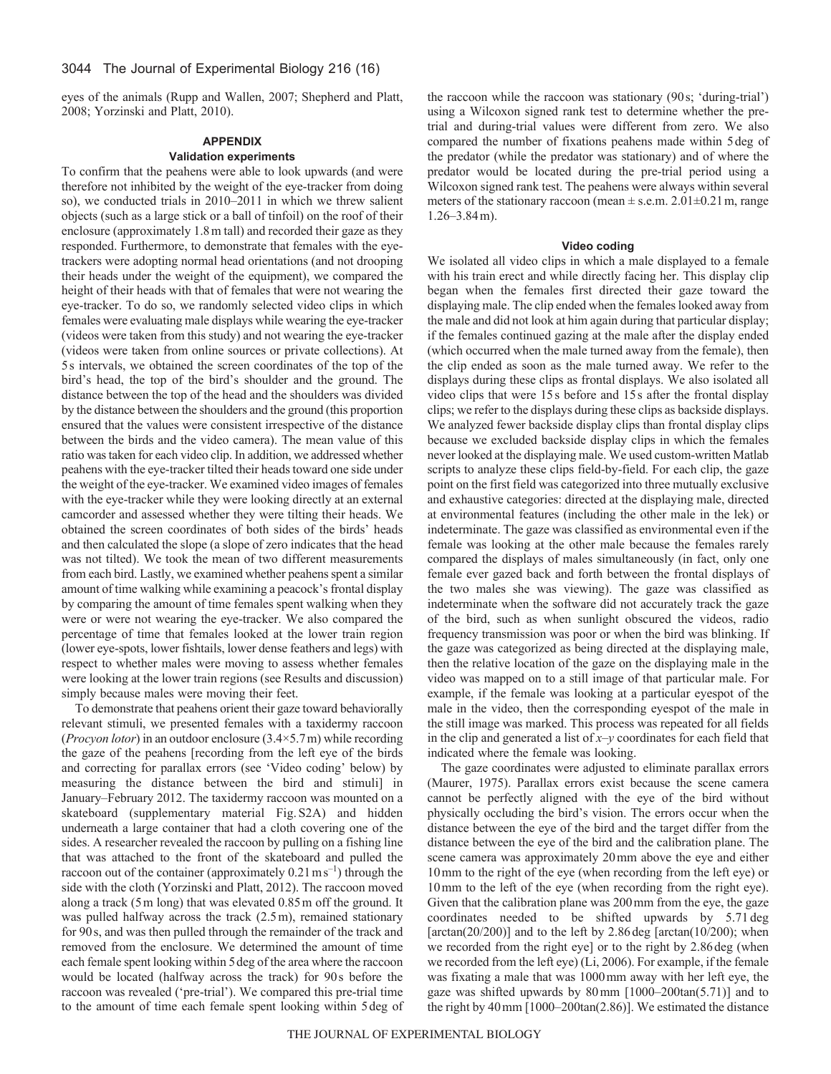eyes of the animals (Rupp and Wallen, 2007; Shepherd and Platt, 2008; Yorzinski and Platt, 2010).

## **APPENDIX**

## **Validation experiments**

To confirm that the peahens were able to look upwards (and were therefore not inhibited by the weight of the eye-tracker from doing so), we conducted trials in 2010–2011 in which we threw salient objects (such as a large stick or a ball of tinfoil) on the roof of their enclosure (approximately 1.8m tall) and recorded their gaze as they responded. Furthermore, to demonstrate that females with the eyetrackers were adopting normal head orientations (and not drooping their heads under the weight of the equipment), we compared the height of their heads with that of females that were not wearing the eye-tracker. To do so, we randomly selected video clips in which females were evaluating male displays while wearing the eye-tracker (videos were taken from this study) and not wearing the eye-tracker (videos were taken from online sources or private collections). At 5s intervals, we obtained the screen coordinates of the top of the bird's head, the top of the bird's shoulder and the ground. The distance between the top of the head and the shoulders was divided by the distance between the shoulders and the ground (this proportion ensured that the values were consistent irrespective of the distance between the birds and the video camera). The mean value of this ratio was taken for each video clip. In addition, we addressed whether peahens with the eye-tracker tilted their heads toward one side under the weight of the eye-tracker. We examined video images of females with the eye-tracker while they were looking directly at an external camcorder and assessed whether they were tilting their heads. We obtained the screen coordinates of both sides of the birds' heads and then calculated the slope (a slope of zero indicates that the head was not tilted). We took the mean of two different measurements from each bird. Lastly, we examined whether peahens spent a similar amount of time walking while examining a peacock's frontal display by comparing the amount of time females spent walking when they were or were not wearing the eye-tracker. We also compared the percentage of time that females looked at the lower train region (lower eye-spots, lower fishtails, lower dense feathers and legs) with respect to whether males were moving to assess whether females were looking at the lower train regions (see Results and discussion) simply because males were moving their feet.

To demonstrate that peahens orient their gaze toward behaviorally relevant stimuli, we presented females with a taxidermy raccoon (*Procyon lotor*) in an outdoor enclosure (3.4×5.7m) while recording the gaze of the peahens [recording from the left eye of the birds and correcting for parallax errors (see 'Video coding' below) by measuring the distance between the bird and stimuli] in January–February 2012. The taxidermy raccoon was mounted on a skateboard (supplementary material Fig.S2A) and hidden underneath a large container that had a cloth covering one of the sides. A researcher revealed the raccoon by pulling on a fishing line that was attached to the front of the skateboard and pulled the raccoon out of the container (approximately  $0.21 \text{ m s}^{-1}$ ) through the side with the cloth (Yorzinski and Platt, 2012). The raccoon moved along a track (5m long) that was elevated 0.85m off the ground. It was pulled halfway across the track (2.5m), remained stationary for 90s, and was then pulled through the remainder of the track and removed from the enclosure. We determined the amount of time each female spent looking within 5deg of the area where the raccoon would be located (halfway across the track) for 90s before the raccoon was revealed ('pre-trial'). We compared this pre-trial time to the amount of time each female spent looking within 5deg of the raccoon while the raccoon was stationary (90s; 'during-trial') using a Wilcoxon signed rank test to determine whether the pretrial and during-trial values were different from zero. We also compared the number of fixations peahens made within 5deg of the predator (while the predator was stationary) and of where the predator would be located during the pre-trial period using a Wilcoxon signed rank test. The peahens were always within several meters of the stationary raccoon (mean  $\pm$  s.e.m. 2.01 $\pm$ 0.21 m, range 1.26–3.84m).

#### **Video coding**

We isolated all video clips in which a male displayed to a female with his train erect and while directly facing her. This display clip began when the females first directed their gaze toward the displaying male. The clip ended when the females looked away from the male and did not look at him again during that particular display; if the females continued gazing at the male after the display ended (which occurred when the male turned away from the female), then the clip ended as soon as the male turned away. We refer to the displays during these clips as frontal displays. We also isolated all video clips that were 15s before and 15s after the frontal display clips; we refer to the displays during these clips as backside displays. We analyzed fewer backside display clips than frontal display clips because we excluded backside display clips in which the females never looked at the displaying male. We used custom-written Matlab scripts to analyze these clips field-by-field. For each clip, the gaze point on the first field was categorized into three mutually exclusive and exhaustive categories: directed at the displaying male, directed at environmental features (including the other male in the lek) or indeterminate. The gaze was classified as environmental even if the female was looking at the other male because the females rarely compared the displays of males simultaneously (in fact, only one female ever gazed back and forth between the frontal displays of the two males she was viewing). The gaze was classified as indeterminate when the software did not accurately track the gaze of the bird, such as when sunlight obscured the videos, radio frequency transmission was poor or when the bird was blinking. If the gaze was categorized as being directed at the displaying male, then the relative location of the gaze on the displaying male in the video was mapped on to a still image of that particular male. For example, if the female was looking at a particular eyespot of the male in the video, then the corresponding eyespot of the male in the still image was marked. This process was repeated for all fields in the clip and generated a list of *x*–*y* coordinates for each field that indicated where the female was looking.

The gaze coordinates were adjusted to eliminate parallax errors (Maurer, 1975). Parallax errors exist because the scene camera cannot be perfectly aligned with the eye of the bird without physically occluding the bird's vision. The errors occur when the distance between the eye of the bird and the target differ from the distance between the eye of the bird and the calibration plane. The scene camera was approximately 20mm above the eye and either 10mm to the right of the eye (when recording from the left eye) or 10mm to the left of the eye (when recording from the right eye). Given that the calibration plane was 200mm from the eye, the gaze coordinates needed to be shifted upwards by 5.71 deg [ $arctan(20/200)$ ] and to the left by 2.86 deg [ $arctan(10/200)$ ; when we recorded from the right eye] or to the right by 2.86deg (when we recorded from the left eye) (Li, 2006). For example, if the female was fixating a male that was 1000mm away with her left eye, the gaze was shifted upwards by 80mm [1000–200tan(5.71)] and to the right by 40mm [1000–200tan(2.86)]. We estimated the distance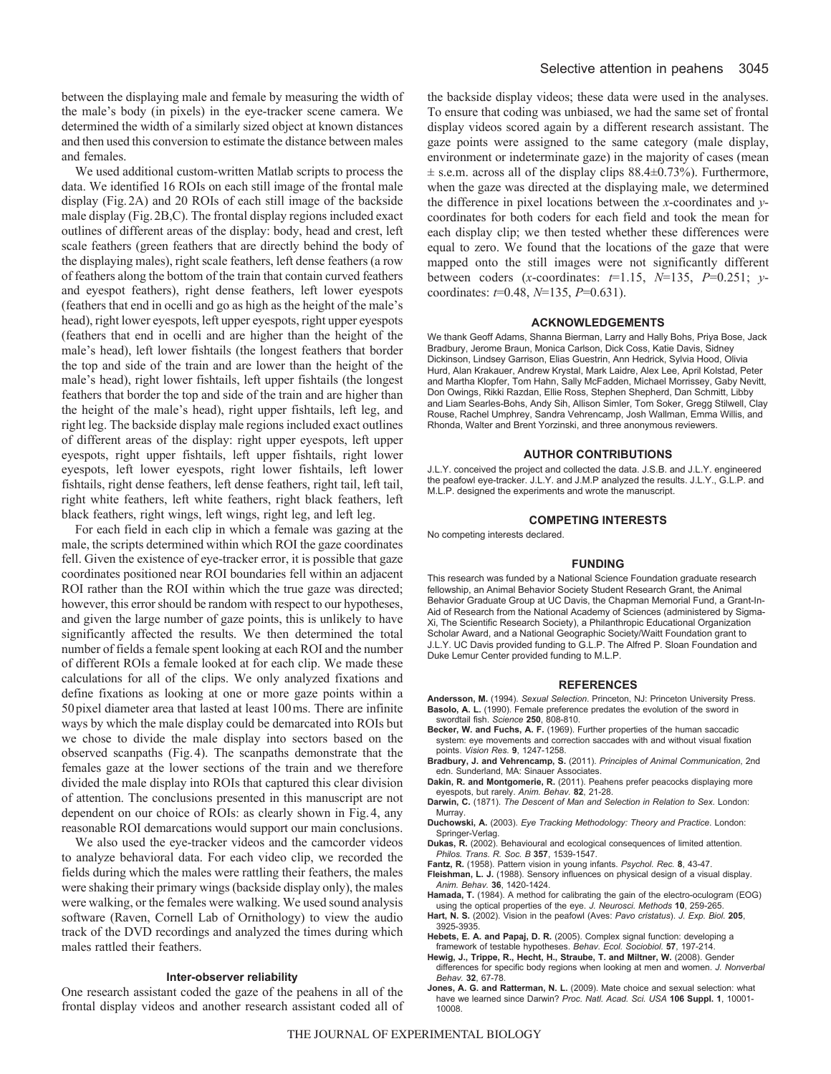between the displaying male and female by measuring the width of the male's body (in pixels) in the eye-tracker scene camera. We determined the width of a similarly sized object at known distances and then used this conversion to estimate the distance between males and females.

We used additional custom-written Matlab scripts to process the data. We identified 16 ROIs on each still image of the frontal male display (Fig.2A) and 20 ROIs of each still image of the backside male display (Fig.2B,C). The frontal display regions included exact outlines of different areas of the display: body, head and crest, left scale feathers (green feathers that are directly behind the body of the displaying males), right scale feathers, left dense feathers (a row of feathers along the bottom of the train that contain curved feathers and eyespot feathers), right dense feathers, left lower eyespots (feathers that end in ocelli and go as high as the height of the male's head), right lower eyespots, left upper eyespots, right upper eyespots (feathers that end in ocelli and are higher than the height of the male's head), left lower fishtails (the longest feathers that border the top and side of the train and are lower than the height of the male's head), right lower fishtails, left upper fishtails (the longest feathers that border the top and side of the train and are higher than the height of the male's head), right upper fishtails, left leg, and right leg. The backside display male regions included exact outlines of different areas of the display: right upper eyespots, left upper eyespots, right upper fishtails, left upper fishtails, right lower eyespots, left lower eyespots, right lower fishtails, left lower fishtails, right dense feathers, left dense feathers, right tail, left tail, right white feathers, left white feathers, right black feathers, left black feathers, right wings, left wings, right leg, and left leg.

For each field in each clip in which a female was gazing at the male, the scripts determined within which ROI the gaze coordinates fell. Given the existence of eye-tracker error, it is possible that gaze coordinates positioned near ROI boundaries fell within an adjacent ROI rather than the ROI within which the true gaze was directed; however, this error should be random with respect to our hypotheses, and given the large number of gaze points, this is unlikely to have significantly affected the results. We then determined the total number of fields a female spent looking at each ROI and the number of different ROIs a female looked at for each clip. We made these calculations for all of the clips. We only analyzed fixations and define fixations as looking at one or more gaze points within a 50pixel diameter area that lasted at least 100ms. There are infinite ways by which the male display could be demarcated into ROIs but we chose to divide the male display into sectors based on the observed scanpaths (Fig.4). The scanpaths demonstrate that the females gaze at the lower sections of the train and we therefore divided the male display into ROIs that captured this clear division of attention. The conclusions presented in this manuscript are not dependent on our choice of ROIs: as clearly shown in Fig.4, any reasonable ROI demarcations would support our main conclusions.

We also used the eye-tracker videos and the camcorder videos to analyze behavioral data. For each video clip, we recorded the fields during which the males were rattling their feathers, the males were shaking their primary wings (backside display only), the males were walking, or the females were walking. We used sound analysis software (Raven, Cornell Lab of Ornithology) to view the audio track of the DVD recordings and analyzed the times during which males rattled their feathers.

#### **Inter-observer reliability**

One research assistant coded the gaze of the peahens in all of the frontal display videos and another research assistant coded all of the backside display videos; these data were used in the analyses. To ensure that coding was unbiased, we had the same set of frontal display videos scored again by a different research assistant. The gaze points were assigned to the same category (male display, environment or indeterminate gaze) in the majority of cases (mean  $\pm$  s.e.m. across all of the display clips 88.4 $\pm$ 0.73%). Furthermore, when the gaze was directed at the displaying male, we determined the difference in pixel locations between the *x*-coordinates and *y*coordinates for both coders for each field and took the mean for each display clip; we then tested whether these differences were equal to zero. We found that the locations of the gaze that were mapped onto the still images were not significantly different between coders (*x*-coordinates:  $t=1.15$ ,  $N=135$ ,  $P=0.251$ ;  $v=$ coordinates: *t*=0.48, *N*=135, *P*=0.631).

#### **ACKNOWLEDGEMENTS**

We thank Geoff Adams, Shanna Bierman, Larry and Hally Bohs, Priya Bose, Jack Bradbury, Jerome Braun, Monica Carlson, Dick Coss, Katie Davis, Sidney Dickinson, Lindsey Garrison, Elias Guestrin, Ann Hedrick, Sylvia Hood, Olivia Hurd, Alan Krakauer, Andrew Krystal, Mark Laidre, Alex Lee, April Kolstad, Peter and Martha Klopfer, Tom Hahn, Sally McFadden, Michael Morrissey, Gaby Nevitt, Don Owings, Rikki Razdan, Ellie Ross, Stephen Shepherd, Dan Schmitt, Libby and Liam Searles-Bohs, Andy Sih, Allison Simler, Tom Soker, Gregg Stilwell, Clay Rouse, Rachel Umphrey, Sandra Vehrencamp, Josh Wallman, Emma Willis, and Rhonda, Walter and Brent Yorzinski, and three anonymous reviewers.

#### **AUTHOR CONTRIBUTIONS**

J.L.Y. conceived the project and collected the data. J.S.B. and J.L.Y. engineered the peafowl eye-tracker. J.L.Y. and J.M.P analyzed the results. J.L.Y., G.L.P. and M.L.P. designed the experiments and wrote the manuscript.

#### **COMPETING INTERESTS**

No competing interests declared.

#### **FUNDING**

This research was funded by a National Science Foundation graduate research fellowship, an Animal Behavior Society Student Research Grant, the Animal Behavior Graduate Group at UC Davis, the Chapman Memorial Fund, a Grant-In-Aid of Research from the National Academy of Sciences (administered by Sigma-Xi, The Scientific Research Society), a Philanthropic Educational Organization Scholar Award, and a National Geographic Society/Waitt Foundation grant to J.L.Y. UC Davis provided funding to G.L.P. The Alfred P. Sloan Foundation and Duke Lemur Center provided funding to M.L.P.

#### **REFERENCES**

**Andersson, M.** (1994). *Sexual Selection*. Princeton, NJ: Princeton University Press. **Basolo, A. L.** (1990). Female preference predates the evolution of the sword in swordtail fish. *Science* **250**, 808-810.

- **Becker, W. and Fuchs, A. F.** (1969). Further properties of the human saccadic system: eye movements and correction saccades with and without visual fixation points. *Vision Res.* **9**, 1247-1258.
- **Bradbury, J. and Vehrencamp, S.** (2011). *Principles of Animal Communication*, 2nd edn. Sunderland, MA: Sinauer Associates.
- **Dakin, R. and Montgomerie, R.** (2011). Peahens prefer peacocks displaying more eyespots, but rarely. *Anim. Behav.* **82**, 21-28.
- **Darwin, C.** (1871). *The Descent of Man and Selection in Relation to Sex.* London: Murray.
- **Duchowski, A.** (2003). *Eye Tracking Methodology: Theory and Practice*. London: Springer-Verlag.
- **Dukas, R.** (2002). Behavioural and ecological consequences of limited attention. *Philos. Trans. R. Soc. B* **357**, 1539-1547.
- **Fantz, R.** (1958). Pattern vision in young infants. *Psychol. Rec.* **8**, 43-47.
- **Fleishman, L. J.** (1988). Sensory influences on physical design of a visual display. *Anim. Behav.* **36**, 1420-1424.
- Hamada, T. (1984). A method for calibrating the gain of the electro-oculogram (EOG) using the optical properties of the eye. *J. Neurosci. Methods* **10**, 259-265.
- **Hart, N. S.** (2002). Vision in the peafowl (Aves: *Pavo cristatus*). *J. Exp. Biol.* **205**, 3925-3935.
- **Hebets, E. A. and Papaj, D. R.** (2005). Complex signal function: developing a framework of testable hypotheses. *Behav. Ecol. Sociobiol.* **57**, 197-214.
- **Hewig, J., Trippe, R., Hecht, H., Straube, T. and Miltner, W.** (2008). Gender differences for specific body regions when looking at men and women. *J. Nonverbal Behav.* **32**, 67-78.
- **Jones, A. G. and Ratterman, N. L.** (2009). Mate choice and sexual selection: what have we learned since Darwin? *Proc. Natl. Acad. Sci. USA* **106 Suppl. 1**, 10001- 10008.